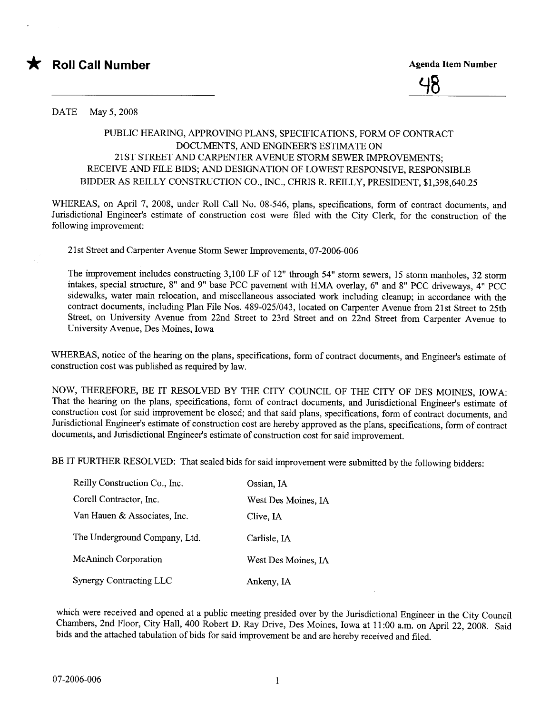



DATE May 5,2008

## PUBLIC HEARING, APPROVING PLANS, SPECIFICATIONS, FORM OF CONTRACT DOCUMENTS, AND ENGINEER'S ESTIMATE ON 21 ST STREET AND CARPENTER AVENUE STORM SEWER IMPROVEMENTS: RECEIVE AND FILE BIDS; AND DESIGNATION OF LOWEST RESPONSIVE, RESPONSIBLE BIDDER AS REILLY CONSTRUCTION CO., INC., CHRIS R. REILLY, PRESIDENT, \$1,398,640.25

WHEREAS, on April 7, 2008, under Roll Call No. 08-546, plans, specifications, form of contract documents, and Jurisdictional Engineer's estimate of construction cost were filed with the City Clerk, for the construction of the following improvement:

21st Street and Carenter Avenue Storm Sewer Improvements, 07-2006-006

The improvement includes constructing 3,100 LF of 12" through 54" storm sewers, 15 storm manholes, 32 storm intakes, special structure, 8" and 9" base PCC pavement with HMA overlay, 6" and 8" PCC driveways, 4" PCC sidewalks, water main relocation, and miscellaneous associated work including cleanup; in accordance with the contract documents, including Plan File Nos. 489-025/043, located on Carpenter Avenue from 21st Street to 25th Street, on University Avenue from 22nd Street to 23rd Street and on 22nd Street from Carpenter Avenue to University Avenue, Des Moines, Iowa

WHEREAS, notice of the hearing on the plans, specifications, form of contract documents, and Engineer's estimate of construction cost was published as required by law.

NOW, THEREFORE, BE IT RESOLVED BY THE CITY COUNCIL OF THE CITY OF DES MOINES, IOWA: That the hearing on the plans, specifications, form of contract documents, and Jurisdictional Engineer's estimate of construction cost for said improvement be closed; and that said plans, specifications, form of contract documents, and Jurisdictional Engineer's estimate of construction cost are hereby approved as the plans, specifications, form of contract documents, and Jurisdictional Engineer's estimate of construction cost for said improvement.

BE IT FURTHER RESOLVED: That sealed bids for said improvement were submitted by the following bidders:

| Reilly Construction Co., Inc. | Ossian, IA          |
|-------------------------------|---------------------|
| Corell Contractor, Inc.       | West Des Moines, IA |
| Van Hauen & Associates, Inc.  | Clive, IA           |
| The Underground Company, Ltd. | Carlisle, IA        |
| <b>McAninch Corporation</b>   | West Des Moines, IA |
| Synergy Contracting LLC       | Ankeny, IA          |

which were received and opened at a public meeting presided over by the Jurisdictional Engineer in the City Council Chambers, 2nd Floor, City Hall, 400 Robert D. Ray Drive, Des Moines, Iowa at 11 :00 a.m. on April 22, 2008. Said bids and the attached tabulation of bids for said improvement be and are hereby received and filed.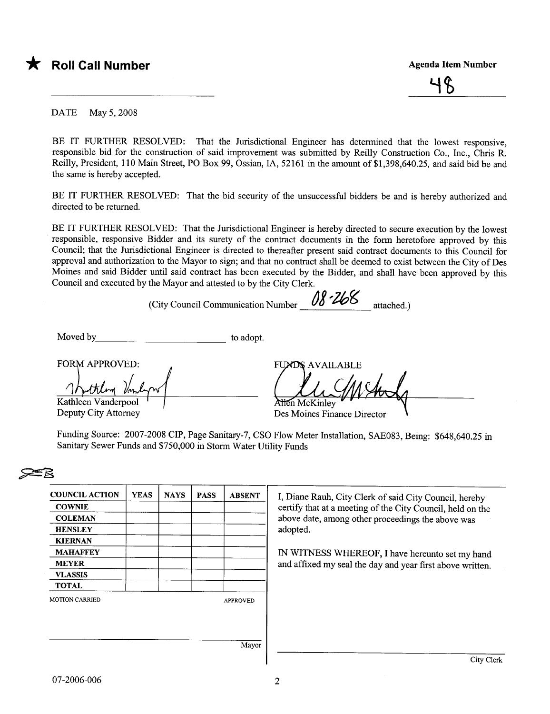

DATE May 5,2008

BE IT FURTHER RESOLVED: That the Jurisdictional Engineer has determined that the lowest responsive, responsible bid for the construction of said improvement was submitted by Reilly Construction Co., Inc., Chris R. Reilly, President, 110 Main Street, PO Box 99, Ossian, lA, 52161 in the amount of \$1,398,640.25, and said bid be and the same is hereby accepted.

BE IT FURTHER RESOLVED: That the bid security of the unsuccessful bidders be and is hereby authorized and directed to be returned.

BE IT FURTHER RESOLVED: That the Jurisdictional Engineer is hereby directed to secure execution by the lowest responsible, responsive Bidder and its surety of the contract documents in the form heretofore approved by this Council; that the Jurisdictional Engineer is directed to thereafter present said contract documents to this Council for approval and authorization to the Mayor to sign; and that no contract shall be deemed to exist between the City of Des Moines and said Bidder until said contract has been executed by the Bidder, and shall have been approved by this Council and executed by the Mayor and attested to by the City Clerk.

(City Council Communication Number  $\frac{08.268}{\sqrt{5}}$  attached.)

Moved by to adopt.

**FORM APPROVED:** 

Kathleen Vanderpool

Deputy City Attorney

FI **AVAILABLE** Atten McKinley

Des Moines Finance Director

| <b>COUNCIL ACTION</b> | <b>YEAS</b> | <b>NAYS</b> | <b>PASS</b> | <b>ABSENT</b>   | I, Diane Rauh, City Clerk of said City Council, hereby     |  |  |  |  |  |
|-----------------------|-------------|-------------|-------------|-----------------|------------------------------------------------------------|--|--|--|--|--|
| <b>COWNIE</b>         |             |             |             |                 | certify that at a meeting of the City Council, held on the |  |  |  |  |  |
| <b>COLEMAN</b>        |             |             |             |                 | above date, among other proceedings the above was          |  |  |  |  |  |
| <b>HENSLEY</b>        |             |             |             |                 | adopted.                                                   |  |  |  |  |  |
| <b>KIERNAN</b>        |             |             |             |                 |                                                            |  |  |  |  |  |
| <b>MAHAFFEY</b>       |             |             |             |                 | IN WITNESS WHEREOF, I have hereunto set my hand            |  |  |  |  |  |
| <b>MEYER</b>          |             |             |             |                 | and affixed my seal the day and year first above written.  |  |  |  |  |  |
| <b>VLASSIS</b>        |             |             |             |                 |                                                            |  |  |  |  |  |
| <b>TOTAL</b>          |             |             |             |                 |                                                            |  |  |  |  |  |
| <b>MOTION CARRIED</b> |             |             |             | <b>APPROVED</b> |                                                            |  |  |  |  |  |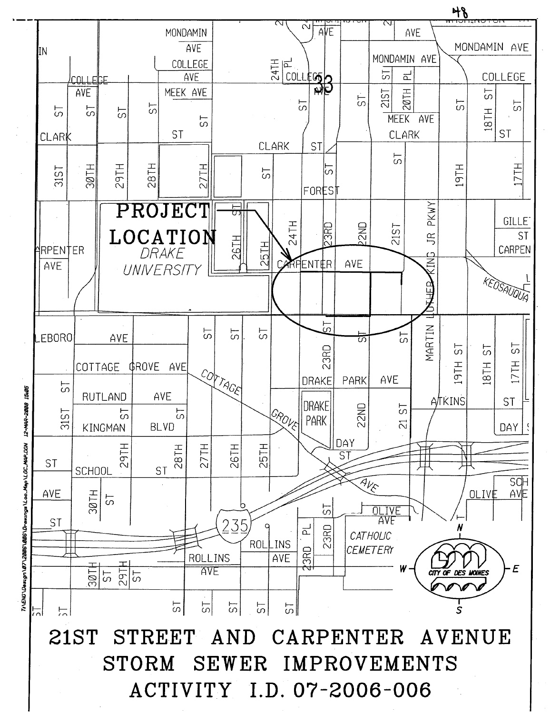

12-MAR-2008 V1CHAPAL2011 qaM-oo\_l/segrina-AD/300/S00025/T0/netse0/DN3/V1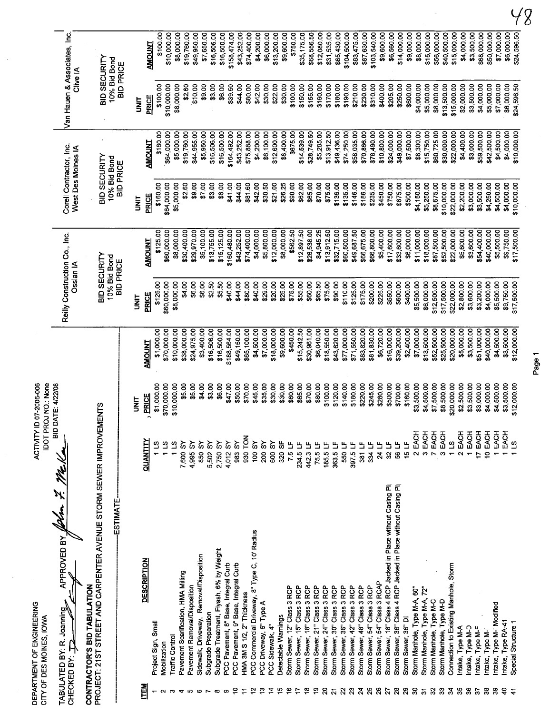|                              | DEPARTMENT OF ENGINEERING<br>CITY OF DES MOINES, IOWA                                                                                                      |                               | IDOT PROJ NO.: None<br>ACTIVITY ID 07-2006-006 |                             |                                                  |                            |                                                  |                            |                                                  |                            |
|------------------------------|------------------------------------------------------------------------------------------------------------------------------------------------------------|-------------------------------|------------------------------------------------|-----------------------------|--------------------------------------------------|----------------------------|--------------------------------------------------|----------------------------|--------------------------------------------------|----------------------------|
|                              | APPROVED BY<br>TABULATED BY: R. Joanning<br>CHECKED BY: P                                                                                                  |                               | BID DATE: 4/22/08                              |                             | Reilly Construction Co., Inc.<br>Ossian IA       |                            | Corell Contractor, Inc.<br>West Des Moines IA    |                            | Van Hauen & Associates, Inc.<br>Clive IA         |                            |
|                              | PROJECT: 21ST STREET AND CARPENTER AVENUE STORM SEWER IMPROVEMENTS<br><b>ESTIMATE</b><br>CONTRACTOR'S BID TABULATION                                       |                               |                                                |                             | BID SECURITY<br>10% Bid Bond<br><b>BID PRICE</b> |                            | BID SECURITY<br>10% Bid Bond<br><b>BID PRICE</b> |                            | BID SECURITY<br>10% Bid Bond<br><b>BID PRICE</b> |                            |
|                              |                                                                                                                                                            |                               | <b>SE</b>                                      |                             | <b>TINT</b>                                      |                            | i<br>M                                           |                            | <b>SIX</b>                                       |                            |
| <b>ITEM</b>                  | DESCRIPTION                                                                                                                                                | QUANTITY                      | <b>PRICE</b>                                   | <b>TNUONA</b>               | <b>PRICE</b>                                     | <b>AMOUNT</b>              | <b>PRICE</b>                                     | <b>AMOUNT</b>              | <b>PRICE</b>                                     | <b>AMOUNT</b>              |
|                              | Project Sign, Small                                                                                                                                        | 1 LS                          | \$1,000.00                                     | \$1,000.00                  | \$125.00                                         | \$125.00                   | \$160.00                                         | \$160.00                   | \$100.00                                         | \$100.00                   |
| $\mathbf{C}$                 | Mobilization                                                                                                                                               | ്പ                            | \$70,000.00                                    | \$70,000.00                 | \$60,000.00                                      | \$60,000.00                | \$64,000.00                                      | \$64,000.00                | \$10,000.00                                      | \$10,000.00                |
| 4                            | Pavement Scarification, HMA Milling<br><b>Traffic Control</b>                                                                                              | š<br>$\frac{1}{2}$<br>7,600   | \$10,000.00<br>\$5.00                          | \$38,000.00<br>\$10,000.00  | \$8,000.00<br>\$4.00                             | \$8,000.00                 | \$5,000.00                                       | \$5,000.00                 | \$8,000.00                                       | \$8,000.00                 |
| <b>ID</b>                    | Pavement Removal/Disposition                                                                                                                               | 4,995 SY                      | \$5.00                                         | \$24,975.00                 | \$6.00                                           | \$30,400.00<br>\$29,970.00 | \$2.60<br>\$9.00                                 | \$19,760.00<br>\$44,955.00 | \$10.00<br>\$2.60                                | \$19,760.00<br>\$49,950.00 |
| $\boldsymbol{\omega}$        | Sidewalk, Driveway, Removal/Disposition                                                                                                                    | 850 SY                        | \$4.00                                         | \$3,400.00                  | \$6.00                                           | \$5,100.00                 | \$7.00                                           | \$5,950.00                 | \$9.00                                           | \$7,650.00                 |
|                              | Subgrade Preparation                                                                                                                                       | ္တ<br>5,502                   | \$3.00                                         | \$16,506.00                 | \$2.50                                           | \$13,755.00                | \$3.00                                           | \$16,506.00                | \$3.00                                           | \$16,506.00                |
|                              | Subgrade Treatment, Flyash, 6% by Weight<br>PCC Pavement, 8" Base, Integral Curb                                                                           | ᡒ<br>2,750                    | \$6.00                                         | \$16,500.00                 | \$5.50                                           | \$15,125.00                | \$6.00                                           | \$16,500.00                | \$6.00                                           | \$16,500.00                |
| ₽                            | PCC Pavement, 9" Base, Integral Curb                                                                                                                       | $\infty$<br>4,012 SY<br>983   | \$47.00<br>\$50.00                             | \$188,564.00<br>\$49,150.00 | \$40.00<br>\$44.00                               | \$160,480.00               | \$41.00                                          | \$164,492.00               | \$39.50                                          | \$158,474.00               |
|                              | HMA 3M S 1/2, 2" Thickness                                                                                                                                 | 930 TON                       | \$70.00                                        | \$65,100.00                 | \$80.00                                          | \$43,252.00<br>\$74,400.00 | \$44.00<br>\$81.60                               | \$43,252.00<br>\$75,888.00 | \$44.00<br>\$80.00                               | \$43,252.00                |
|                              | PCC Commercial Driveway, 8" Type C, 10" Radius                                                                                                             | <b>100 SY</b>                 | \$45.00                                        | \$4,500.00                  | \$40.00                                          | \$4,000.00                 | \$42.00                                          | \$4,200.00                 | \$42.00                                          | \$4,200.00<br>\$74,400.00  |
| ္                            | PCC Driveway, 6" Type A                                                                                                                                    | 200 SY                        | \$35.00                                        | \$7,000.00                  | \$29.00                                          | \$5,800.00                 | \$30.50                                          | \$6,100.00                 | \$30.00                                          | \$6,000.00                 |
| 2<br>$\frac{5}{10}$          | Detectable Warnings<br>PCC Sidewalk, 4"                                                                                                                    | ò<br>800                      | \$30.00                                        | \$18,000.00                 | \$20.00                                          | \$12,000.00                | \$21.00                                          | \$12,600.00                | \$22.00                                          | \$13,200.00                |
| ڥ                            | Storm Sewer, 12" Class 3 RCP                                                                                                                               | 320 SF<br>7.5 LF              | \$30.00<br>\$60.00                             | \$9,600.00                  | \$25.00                                          | \$8,000.00                 | \$26.25                                          | \$8,400.00                 | \$30.00                                          | \$9,600.00                 |
| ₽                            | Storm Sewer, 15" Class 3 RCP                                                                                                                               | 234.5 LF                      | \$65.00                                        | \$450.00<br>\$15,242.50     | \$75.00<br>\$55.00                               | \$12,897.50<br>\$562.50    | \$90.00<br>\$62.00                               | \$675.00                   | \$100.00                                         | \$750.00                   |
| ₽                            | Storm Sewer, 18" Class 3 RCP                                                                                                                               | 442.3 LF                      | \$70.00                                        | \$30,961.00                 | \$60.00                                          | \$26,538 00                | \$65.00                                          | \$14,539.00<br>\$28,749.50 | \$150.00<br>\$155.00                             | \$35,175.00<br>\$68,556.50 |
| ဒ္                           | Storm Sewer, 21" Class 3 RCP                                                                                                                               | 75.5 LF                       | \$80,00                                        | \$6,040.00                  | \$65.50                                          | \$4,945.25                 | \$70.00                                          | \$5,285.00                 | \$160.00                                         | \$12,080.00                |
| ຊ                            | Storm Sewer, 24" Class 3 RCP                                                                                                                               | 185.5 LF                      | \$100.00                                       | \$18,550.00                 | \$75.00                                          | \$13,912.50                | \$75.00                                          | \$13,912.50                | \$170.00                                         | \$31,535.00                |
| $\overline{\mathbf{z}}$<br>ଅ | Storm Sewer, 30" Class 3 RCP<br>Storm Sewer, 36" Class 3 RCP                                                                                               | 363.5                         | \$120.00                                       | \$43,620.00                 | \$90.00                                          | \$32,715.00                | \$136.00                                         | \$49,436.00                | \$180.00                                         | \$65,430.00                |
| $\boldsymbol{\mathcal{Z}}$   | Storm Sewer, 42" Class 3 RCP                                                                                                                               | 550 LF<br>397.5 LF            | \$140.00<br>\$180.00                           | \$77,000.00<br>\$71,550.00  | \$110.00<br>\$125.00                             | \$60,500.00<br>\$49,687.50 | \$135.00<br>\$146.00                             | \$74,250.00                | \$190.00                                         | \$104,500.00               |
| ম                            | Storm Sewer, 48" Class 3 RCP                                                                                                                               | 387                           | \$220.00                                       | \$83,820.00                 | \$175.00                                         | \$66,675.00                | \$186.00                                         | \$70,866.00<br>\$58,035.00 | \$210.00<br>\$230.00                             | \$83,475.00<br>\$87,630.00 |
| 25                           | Storm Sewer, 54" Class 3 RCP                                                                                                                               | 334 <sub>1</sub>              | \$245.00                                       | \$81,830.00                 | \$200.00                                         | \$66,800.00                | \$235.00                                         | \$78,490.00                | \$310.00                                         | \$103,540.00               |
| $\boldsymbol{26}$            | Storm Sewer, 54" Class 3 RCAP                                                                                                                              | 24 LF                         | \$280.00                                       | \$6,720.00                  | \$225.00                                         | \$5,400.00                 | \$450.00                                         | \$10,800.00                | \$400.00                                         | \$9,600.00                 |
| $\boldsymbol{z}$<br>27       | Storm Sewer, 18" Class 4 RCP Jacked in Place without Casing Pi <sub>l</sub><br>Storm Sewer, 36" Class 4 RCP Jacked in Place without Casing Pi <sub>l</sub> | 32 LF                         | \$500.00                                       | \$16,000.00                 | \$550.00                                         | \$17,600.00                | \$750.00                                         | \$24,000.00                | \$205.00                                         | \$6,560.00                 |
| ని                           | Storm Sewer, 36" DI                                                                                                                                        | 15 LF<br>56 LF                | \$700.00<br>\$160.00                           | \$39,200.00<br>\$2,400.00   | \$600.00<br>\$400.00                             | \$33,600.00                | \$875.00                                         | \$49,000.00                | \$250.00                                         | \$14,000.00                |
| ္က                           | Storm Manhole, Type M-A, 60"                                                                                                                               | 2 EACH                        | \$3,500.00                                     | \$7,000.00                  | \$5,500.00                                       | \$6,000.00<br>\$11,000.00  | \$500.00<br>\$4,150.00                           | \$7,500.00                 | \$600.00                                         | \$9,000.00                 |
| $\overline{\bullet}$         | Ż.<br>Storm Manhole, Type M-A,                                                                                                                             | EACH<br>$\boldsymbol{\sigma}$ | \$4,500.00                                     | \$13,500.00                 | \$6,000.00                                       | \$18,000.00                | \$5,250.00                                       | \$8,300.00<br>\$15,750.00  | \$4,000.00<br>\$5,000.00                         | \$8,000.00<br>\$15,000.00  |
| 32                           | Storm Manhole, Type M-C                                                                                                                                    | 7 EACH                        | \$7,500.00                                     | \$52,500.00                 | \$12,500.00                                      | \$87,500.00                | \$8,675.00                                       | \$60,725.00                | \$8,000.00                                       | \$56,000.00                |
| 33                           | Storm Manhole, Type M-D                                                                                                                                    | 3 EACH                        | \$8,500.00                                     | \$25,500.00                 | \$17,500.00                                      | \$52,500.00                | \$10,000.00                                      | \$30,000.00                | \$13,500.00                                      | \$40,500.00                |
| $\boldsymbol{z}$             | Connection to Existing Manhole, Storm                                                                                                                      | $\overline{a}$                | \$20,000.00                                    | \$20,000.00                 | \$22,000.00                                      | \$22,000.00                | \$22,000.00                                      | \$22,000.00                | \$15,000.00                                      | \$15,000.00                |
| 35<br>36                     | Intake, Type M-A                                                                                                                                           | EACH<br>$\mathbf{\Omega}$     | \$2,500.00                                     | \$5,000.00                  | \$2,800.00                                       | \$5,600.00                 | \$2,200.00                                       | \$4,400.00                 | \$2,000.00                                       | \$4,000.00                 |
| 5                            | Intake, Type M-D<br>Intake, Type M-F                                                                                                                       | 1 EACH<br>EACH<br>t,          | \$3,500.00<br>\$3,000.00                       | \$3,500.00                  | \$3,600.00                                       | \$3,600.00                 | \$3,000.00                                       | \$3,000.00                 | \$3,500.00                                       | \$3,500.00                 |
| 33                           | Intake, Type M-I                                                                                                                                           | EACH<br>ė                     | \$4,000.00                                     | \$51,000.00<br>\$40,000.00  | \$3,200.00<br>\$4,000.00                         | \$54,400.00<br>\$40,000.00 | \$3,500.00<br>\$4,250.00                         | \$59,500.00<br>\$42,500.00 | \$4,000.00<br>\$5,000.00                         | \$68,000.00                |
| ౢ                            | Intake, Type M-I Modified                                                                                                                                  | EACH                          | \$4,500.00                                     | \$4,500.00                  | \$5,500.00                                       | \$5,500.00                 | \$4,500.00                                       | \$4,500.00                 | \$7,000.00                                       | \$7,000.00<br>\$50,000.00  |
| ខ្                           | ntake, Type RA-41                                                                                                                                          | EACH                          | \$3,500.00                                     | \$3,500.00                  | \$9,750.00                                       | \$9,750.00                 | \$4,000.00                                       | \$4,000.00                 | \$6,000.00                                       | \$6,000.00                 |
|                              | Special Structure 1                                                                                                                                        |                               | \$12,000.00                                    | \$12,000.00                 | \$17,500.00                                      | \$17,500.00                | \$10,000.00                                      | \$10,000.00                | \$24,596.50                                      | \$24,596.50                |

 $\frac{1}{2}$ 

 $\bar{\beta}$ 

 $\frac{1}{2}$ 

Page 1

 $48$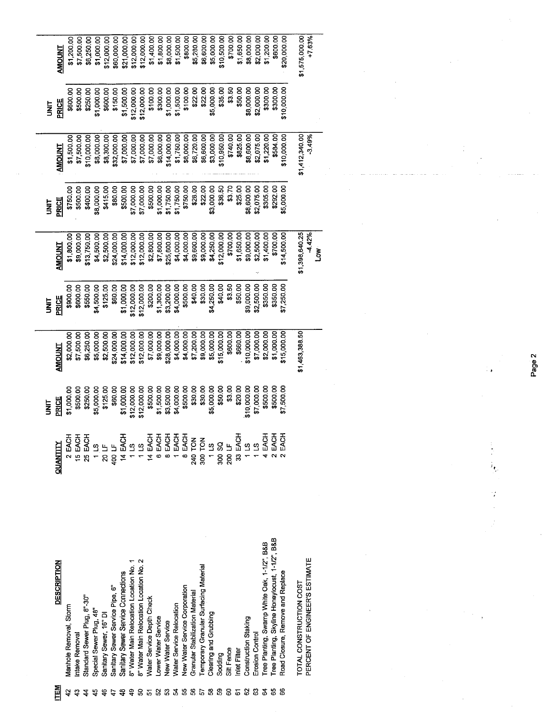|         |                                                           |          | m<br>S      |                | ł           |                         | i<br>E     |                            | i<br>3      |                          |
|---------|-----------------------------------------------------------|----------|-------------|----------------|-------------|-------------------------|------------|----------------------------|-------------|--------------------------|
| 旨       | <b>DESCRIPTION</b>                                        | QUANTITY | PRICE       | <b>AMOUNT</b>  | PRICE       | <b>AMOUNT</b>           | PRICE      | <b>TNUOINT</b>             | PRICE       | <b>LNDOMS</b>            |
|         | Manhole Removal, Storm                                    | 2 EACH   | \$1,000.00  | \$2,000.00     | \$900.00    | \$1,800.00              | \$750.00   | \$1,500.00                 | \$600.00    | \$1,200.00               |
|         | Intake Removal                                            | 15 EACH  | \$500.00    | \$7,500.00     | \$600.00    | \$9,000.00              | \$500.00   | \$7,500.00                 | \$500.00    | \$7,500.00               |
|         | Standard Sewer Plug, 8"-30"                               | 25 EACH  | \$250.00    | \$6,250.00     | \$550.00    | \$13,750.00             | \$400.00   | \$10,000.00                | \$250.00    | \$6,250.00               |
|         | Special Sewer Plug, 48                                    | 11.5     | \$5,000.00  | \$5,000.00     | \$4,500.00  | \$4,500.00              | \$8,000.00 | \$8,000.00                 | \$1,000.00  | \$1,000.00               |
|         | Sanitary Sewer, 16" DI                                    | 20 LF    | \$125.00    | \$2,500.00     | \$125.00    | \$2,500.00              | \$415.00   | \$8,300.00                 | \$600.00    | \$12,000.00              |
|         | Sanitary Sewer Service Pipe, 6"                           | 400 LF   | \$60.00     | \$24,000.00    | \$60.00     | \$24,000.00             | \$80.00    | \$32,000.00                | \$150.00    | \$60,000.00              |
|         | Sanitary Sewer Service Connections                        | 14 EACH  | \$1,000.00  | \$14,000.00    | \$1,000.00  | \$14,000.00             | \$500.00   | \$7,000.00                 | \$1,500.00  | \$21,000.00              |
|         | 8" Water Main Relocation Location No. 1                   | $1\,$ LS | \$12,000.00 | \$12,000.00    | \$12,000.00 | \$12,000.00             | \$7,000.00 | \$7,000.00                 | \$12,000.00 | \$12,000.00              |
| င္က     | 8" Water Main Relocation Location No. 2                   | 115      | \$12,000.00 | \$12,000.00    | \$12,000.00 | \$12,000.00             | \$7,000.00 | \$7,000.00                 | \$12,000.00 | \$12,000.00              |
|         | Water Service Depth Check                                 | 14 EACH  | \$500.00    | \$7,000.00     | \$200.00    | \$2,800.00              | \$500.00   | \$7,000.00                 | \$100.00    | \$1,400.00               |
| ន       | ower Water Service                                        | 6 EACH   | \$1,500.00  | \$9,000.00     | \$1,300.00  | \$7,800.00              | \$1,000.00 | \$6,000.00                 | \$300.00    | \$1,800.00               |
| $\! 3$  | <b>Vew Water Service</b>                                  | 8EACH    | \$3,500.00  | \$28,000.00    | \$3,200.00  | \$25,600.00             | \$1,750.00 | \$14,000.00                | \$1,000.00  | \$8,000.00               |
| 24      | <b>Nater Service Relocation</b>                           | 1 EACH   | \$4,000.00  | \$4,000.00     | \$4,000.00  | \$4,000.00              | \$1,750.00 | \$1,750.00                 | \$1,500.00  | \$1,500.00               |
| 55      | New Water Service Corporation                             | 8 EACH   | \$500.00    | \$4,000.00     | \$500.00    | \$4,000.00              | \$750.00   | \$6,000.00                 | \$100.00    | \$800.00                 |
| 56      | <b>Granular Stabilization Material</b>                    | 240 TON  | \$30.00     | \$7,200.00     | \$40.00     | \$9,600.00              | \$28.00    | \$6,720.00                 | \$22.00     | \$5,280.00               |
| $\, 57$ | Temporary Granular Surfacing Material                     | 300 TON  | \$30.00     | \$9,000.00     | \$30.00     | \$9,000.00              | \$22.00    | \$6,600.00                 | \$22.00     | \$6,600.00               |
| 58      | Clearing and Grubbing                                     | 115      | \$5,000.00  | \$5,000.00     | \$4,250.00  | \$4,250.00              | \$3,000.00 | \$3,000.00                 | \$5,000.00  | \$5,000.00               |
| S9      | Sodding                                                   | 500 SQ   | \$50.00     | \$15,000.00    | \$40.00     | \$12,000.00             | \$36.50    | \$10,950.00                | \$35.00     | \$10,500.00              |
| 8       | Silt Fence                                                | 200 LF   | \$3.00      | \$600.00       | \$3.50      | \$700.00                | \$3.70     | \$740.00                   | \$3.50      | \$700.00                 |
| 6       | nlet Filter                                               | 33 EACH  | \$20.00     | \$660.00       | \$50.00     | \$1,650.00              | \$25.00    | \$825.00                   | \$50,00     | \$1,650.00               |
| 8       | Construction Staking                                      | 113      | \$10,000.00 | \$10,000.00    | \$9,000.00  | \$9,000.00              | \$8,600.00 | \$8,600.00                 | \$8,000.00  | \$8,000.00               |
| ි       | Erosion Control                                           | $\Omega$ | \$7,000.00  | \$7,000.00     | \$2,500.00  | \$2,500.00              | \$2,075.00 | \$2,075.00                 | \$2,000.00  | \$2,000.00               |
| 2       | Tree Planting, Swamp White Oak, 1-1/2", B&B               | $4$ EAC  | \$500.00    | \$2,000.00     | \$350.00    | \$1,400.00              | \$305.00   | \$1,220.00                 | \$300.00    | \$1,200.00               |
| 3       | Tree Planting, Skyline Honeylocust, 1-1/2", B&B           | 2 EACI   | \$500.00    | \$1,000.00     | \$350.00    | \$700.00                | \$292.00   | \$584.00                   | \$300,00    | \$600.00                 |
| 8       | Road Closure, Remove and Replace                          | EACH     | \$7,500.00  | \$15,000.00    | \$7,250.00  | \$14,500.00             | \$5,000.00 | \$10,000.00                | \$10,000.00 | \$20,000.00              |
|         | PERCENT OF ENGINEER'S ESTIMATE<br>TOTAL CONSTRUCTION COST |          |             | \$1,463,388.50 |             | \$1,398,640.25<br>4.42% |            | \$1,412,340.00<br>$-3.49%$ |             | +7.63%<br>\$1,575,000.00 |
|         |                                                           |          |             |                |             | ŠΩ                      |            |                            |             |                          |

Page 2

÷,

Q.

 $\sim$ 

 $\omega_{\rm c}$  and

 $\frac{1}{2}$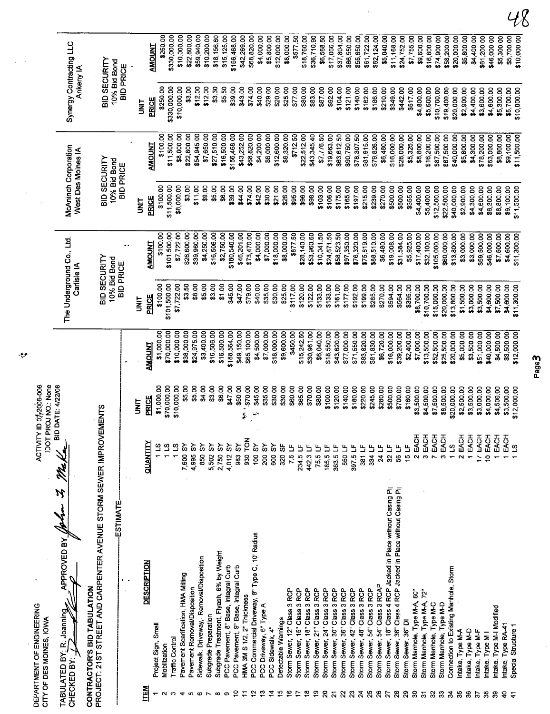|                            | DEPARTMENT OF ENGINEERING<br>CITY OF DES MOINES, IOWA                                       | <b>TOCI</b>              | ACTIVITY ID 07,2006-006<br>PROJ NO. None |                            |                                          |                            |                                            |                            |                                      |                            |
|----------------------------|---------------------------------------------------------------------------------------------|--------------------------|------------------------------------------|----------------------------|------------------------------------------|----------------------------|--------------------------------------------|----------------------------|--------------------------------------|----------------------------|
|                            | APPROVED BY<br>TABULATED BY: R. Joanning<br>CHECKED BY:                                     |                          | <b>BID DATE: 4/22/08</b>                 |                            | The Underground Co., Ltd.<br>Carlisle IA |                            | McAninch Corporation<br>West Des Moines IA |                            | Synergy Contracting LLC<br>Ankeny IA |                            |
|                            | PROJECT: 21ST STREET AND CARPENTER AVENUE STORM SEWER IMPROV<br>CONTRACTOR'S BID TABULATION |                          | <b>EMENTS</b>                            |                            | BID SECURITY<br>10% Bid Bond             |                            | BID SECURITY                               |                            | BID SECURITY                         |                            |
|                            | <b>ESTIMATE</b>                                                                             |                          |                                          |                            | <b>BID PRICE</b>                         |                            | 10% Bid Bond<br><b>BID PRICE</b>           |                            | 10% Bid Bond<br><b>BID PRICE</b>     |                            |
|                            |                                                                                             |                          | <b>TRID</b>                              |                            | i<br>N                                   |                            | <b>TIXL</b>                                |                            | <b>SI</b>                            |                            |
| <b>NEN</b>                 | DESCRIPTION                                                                                 | QUANTITY                 | PRICE                                    | <b>AMOUNT</b>              | PRICE                                    | <b>AMOUNT</b>              | PRICE                                      | <b>AMOUNT</b>              | <b>PRICE</b>                         | <b>AMOUNT</b>              |
|                            | Project Sign, Small                                                                         |                          | \$1,000.00                               | \$1,000.00                 | \$100.00                                 | \$100.00                   | \$100.00                                   | \$100.00                   | \$250.00                             | \$250.00                   |
| 0                          | <b>Traffic Control</b><br>Mobilization                                                      |                          | \$70,000.00                              | \$70,000.00                | \$101,500.00                             | \$101,500.00               | \$11,500.00                                | \$11,500.00                | \$330,000.00                         | \$330,000.00               |
|                            | Pavement Scarification, HMA Milling                                                         | ്വ<br>7,600 SY           | \$10,000.00<br>\$5.00                    | \$10,000.00<br>\$38,000.00 | \$7,722.00                               | \$7,722.00                 | \$8,000.00                                 | \$8,000.00                 | \$10,000.00                          | \$10,000.00                |
| tO.                        | Pavement Removal/Disposition                                                                | šδ<br>4,995              | \$5.00                                   | \$24,975.00                | \$3.50<br>\$8.00                         | \$26,600.00<br>\$39,960.00 | \$3.00<br>\$11.00                          | \$22,800.00<br>\$54,945.00 | \$3.00                               | \$22,800.00                |
|                            | Sidewalk, Driveway, Removal/Disposition                                                     | ္တ<br>850                | \$4.00                                   | \$3,400.00                 | \$5.00                                   | \$4,250.00                 | \$9.00                                     | \$7,650.00                 | \$12.00<br>\$12.00                   | \$10,200.00<br>\$59,940.00 |
|                            | Subgrade Preparation                                                                        | ္တ<br>5,502              | \$3.00                                   | \$16,506.00                | \$3.00                                   | \$16,506.00                | \$5.00                                     | \$27,510.00                | \$3.30                               | \$18,156.60                |
|                            | Subgrade Treatment, Flyash, 6% by Weight<br>PCC Pavement, 8" Base, Integral Curb            | š<br>2,750               | \$6.00                                   | \$16,500.00                | \$1.00                                   | \$2,750.00                 | \$6.00                                     | \$16,500.00                | \$5.50                               | \$15,125.00                |
| o                          | PCC Pavement, 9" Base, Integral Curb                                                        | š<br>4,012               | \$47.00                                  | \$188,564,00               | \$45.00                                  | \$180,540.00               | \$39.00                                    | \$156,468.00               | \$39.00                              | \$156,468.00               |
|                            | HMA 3M S 1/2, 2" Thickness                                                                  | <b>NOL</b><br>583S<br>88 | \$50.00<br>\$70.00<br>i<br>Š             | \$49,150.00                | \$47.00                                  | \$46,201.00                | \$44.00                                    | \$43,252.00                | \$43.00                              | \$42,269.00                |
|                            | PCC Commercial Driveway, 8" Type C, 10" Radius                                              | <b>AS 001</b>            | \$45.00<br>Y                             | \$65,100.00<br>\$4,500.00  | \$79.00<br>\$40.00                       | \$73,470.00                | \$74.00                                    | \$68,820.00                | \$74.00                              | \$68,820.00                |
|                            | PCC Driveway, 6" Type A                                                                     | 200 SY                   | \$35.00                                  | \$7,000.00                 | \$35.00                                  | \$7,000.00<br>\$4,000.00   | \$42.00<br>\$30.00                         | \$4,200.00<br>\$6,000.00   | \$29.00<br>\$40.00                   | \$4,000.00                 |
| ₫                          | PCC Sidewalk, 4"                                                                            | 600 SY                   | \$30.00                                  | \$18,000.00                | \$30.00                                  | \$18,000.00                | \$21.00                                    | \$12,600.00                | \$20.00                              | \$12,000.00<br>\$5,800.00  |
| ம                          | Detectable Warnings                                                                         | 320 SF                   | \$30.00                                  | \$9,600.00                 | \$25.00                                  | \$8,000.00                 | \$26.00                                    | \$8,320.00                 | \$25.00                              | \$8,000.00                 |
|                            | Storm Sewer, 12" Class 3 RCP                                                                | 7.5 LF                   | \$60.00                                  | \$450.00                   | \$117.00                                 | \$877.50                   | \$95.00                                    | \$712.50                   | \$77.00                              | \$577.50                   |
| ≌                          | Storm Sewer, 15" Class 3 RCP<br>Storm Sewer, 18" Class 3 RCP                                | 234.5 LF                 | \$65.00                                  | \$15,242.50                | \$120.00                                 | \$28,140.00                | \$96.00                                    | \$22,512.00                | \$80.00                              | \$18,760.00                |
|                            | Storm Sewer, 21" Class 3 RCP                                                                | 75.5<br>442.3            | \$70.00                                  | \$30,961.00                | \$122.00                                 | \$53,960.60                | \$98.00                                    | \$43,345.40                | \$83.00                              | \$36,710.90                |
| ຂ                          | Storm Sewer, 24" Class 3 RCP                                                                | 185.5                    | \$80.00<br>\$100.00                      | \$6,040.00                 | \$133.00                                 | \$10,041.50                | \$103.00                                   | \$7,776.50                 | \$87.00                              | \$6,568.50                 |
| $\overline{\mathbf{z}}$    | Storm Sewer, 30" Class 3 RCP                                                                | 363.5 L                  | \$120.00                                 | \$18,550.00<br>\$43,620.00 | \$133.00<br>\$161.00                     | \$24,671.50<br>\$58,523.50 | \$106.00                                   | \$19,663.00                | \$92.00                              | \$17,066.00                |
| ສ                          | Storm Sewer, 36" Class 3 RCP                                                                | 550                      | \$140.00                                 | \$77,000.00                | \$177.00                                 | \$97,350.00                | \$175.00<br>\$165.00                       | \$63,612.50<br>\$90,750.00 | \$104.00<br>\$121.00                 | \$37,804.00                |
| $\boldsymbol{\mathcal{Z}}$ | Storm Sewer, 42" Class 3 RCP                                                                | 397.5 LF                 | \$180.00                                 | \$71,550.00                | \$192.00                                 | \$76,320.00                | \$197.00                                   | \$78,307.50                | \$140.00                             | \$66,550.00<br>\$55,650.00 |
| $\mathbf{z}$<br>25         | Storm Sewer, 48" Class 3 RCP                                                                | าร<br>581                | \$220.00                                 | \$83,820.00                | \$199.00                                 | \$75,819.00                | \$215.00                                   | \$81,915.00                | \$162.00                             | \$61,722.00                |
| 26                         | Storm Sewer, 54" Class 3 RCAP<br>Storm Sewer, 54" Class 3 RCP                               | 334                      | \$245.00                                 | \$81,830.00                | \$265.00                                 | \$88,510.00                | \$239.00                                   | \$79,826.00                | \$186.00                             | \$62,124.00                |
| 2                          | Storm Sewer, 18" Class 4 RCP Jacked in Place without Casing Pip                             | 24 LF<br>32 LF           | \$280.00<br>\$500,00                     | \$6,720.00                 | \$270.00                                 | \$6,480.00                 | \$270.00                                   | \$6,480.00                 | \$210.00                             | \$5,040.00                 |
| $\boldsymbol{\mathcal{S}}$ | Storm Sewer, 36" Class 4 RCP Jacked in Place without Casing Pip                             | 56 LF                    | \$700.00                                 | \$39,200.00<br>\$16,000.00 | \$564.00<br>\$594.00                     | \$19,008.00<br>\$31,584.00 | \$500.00<br>\$500.00                       | \$16,000.00                | \$349.00                             | \$11,168.00                |
| 8                          | Storm Sewer, 36" DI                                                                         | 15 LF                    | \$160.00                                 | \$2,400.00                 | \$395.00                                 | \$5,925.00                 | \$355.00                                   | \$28,000.00<br>\$5,325.00  | \$442.00<br>\$517.00                 | \$24,752.00<br>\$7,755.00  |
| ္က                         | Storm Manhole, Type M-A, 60"                                                                | 2 EACH                   | \$3,500.00                               | \$7,000.00                 | \$8,700.00                               | \$17,400.00                | \$4,400.00                                 | \$8,800.00                 | \$4,800.00                           | \$9,600.00                 |
| $\overline{5}$             | Storm Manhole, Type M-A, 72"                                                                | 3<br>EAC                 | \$4,500.00                               | \$13,500.00                | \$10,700.00                              | \$32,100.00                | \$5,400.00                                 | \$16,200.00                | \$5,600.00                           | \$16,800.00                |
| 32<br>3                    | Storm Manhole, Type M-C                                                                     | 7 EACH                   | \$7,500.00                               | \$52,500.00                | \$15,000.00                              | \$105,000.00               | \$12,500.00                                | \$87,500.00                | \$10,700.00                          | \$74,900.00                |
| 2                          | Connection to Existing Manhole, Storm<br>Storm Manhole, Type M-D                            | 3 EACI                   | \$8,500.00                               | \$25,500.00                | \$20,000.00                              | \$60,000.00                | \$22,500.00                                | \$67,500.00                | \$19,400.00                          | \$58,200.00                |
| 35                         | Intake, Type M-A                                                                            | 11S                      | \$20,000.00                              | \$20,000.00                | \$13,800.00                              | \$13,800.00                | \$40,000.00                                | \$40,000.00                | \$20,000.00                          | \$20,000.00                |
| æ                          | Intake, Type M-D                                                                            | 2 EACH<br>EACH           | \$2,500.00<br>\$3,500.00                 | \$5,000.00                 | \$1,500.00                               | \$3,000.00                 | \$2,900.00                                 | \$5,800.00                 | \$2,900.00                           | \$5,800.00                 |
| 5                          | Intake, Type M-F                                                                            | 17 EACH                  | \$3,000.00                               | \$3,500.00<br>\$51,000.00  | \$3,000.00<br>\$3,500.00                 | \$3,000.00<br>\$59,500.00  | \$4,300.00<br>\$4,600.00                   | \$4,300.00                 | \$4,400.00                           | \$4,400.00                 |
| 38                         | Intake, Type M-I                                                                            | 10 EACH                  | \$4,000.00                               | \$40,000.00                | \$4,600.00                               | \$46,000.00                | \$6,300.00                                 | \$78,200.00<br>\$63,000.00 | \$3,600.00<br>\$4,600.00             | \$61,200.00                |
| నె                         | Intake, Type M-I Modified                                                                   | EACH                     | \$4,500.00                               | \$4,500.00                 | \$7,500.00                               | \$7,500.00                 | \$8,800.00                                 | \$8,800.00                 | \$5,300.00                           | \$46,000.00<br>\$5,300.00  |
| ទុ                         | Intake, Type RA-41                                                                          | EACH                     | \$3,500.00                               | \$3,500.00                 | \$4,600.00                               | \$4,600.00                 | \$9,100.00                                 | \$9,100.00                 | \$5,700.00                           | \$5,700.00                 |
|                            | Special Structure 1                                                                         | ്വ                       | \$12,000.00                              | \$12,000.00                | \$11,300.00                              | \$11,300.00                | \$11,500.00                                | \$11,500.00                | \$10,000.00                          | \$10,000.00                |

J.

 $\ddot{\cdot}$ 

 $\bullet$ 

 $\frac{1}{2}$  $\frac{1}{2}$ 

DEPARTMENT OF ENGINEERING<br>CITY OF DES MOINES, IOWA

 $48$ 

Page3

 $\frac{1}{2}$